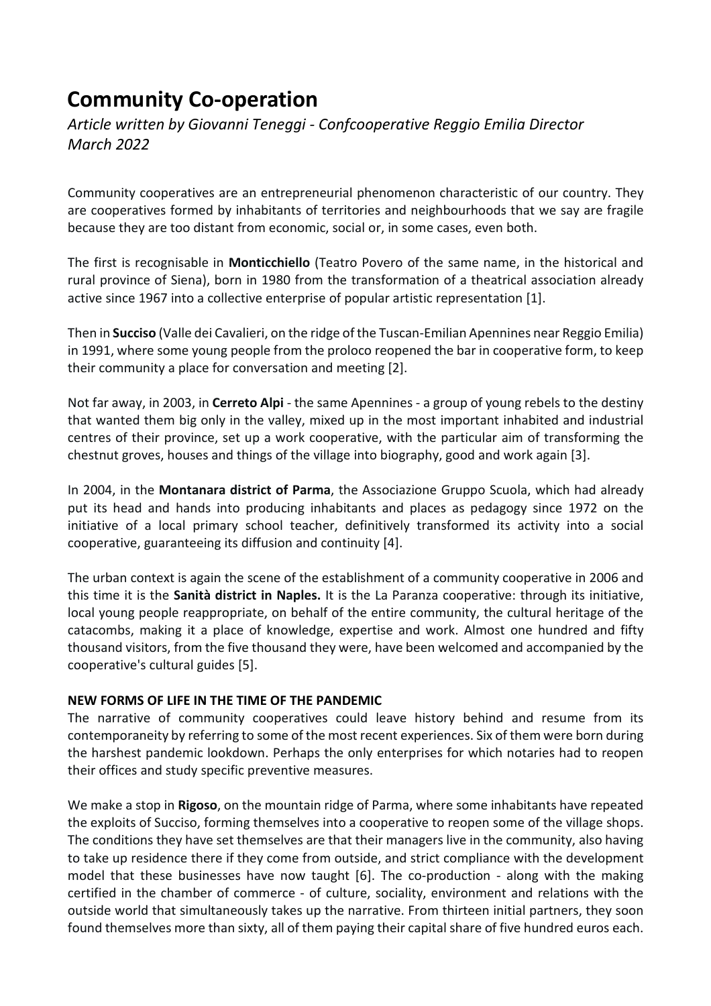# **Community Co-operation**

*Article written by Giovanni Teneggi - Confcooperative Reggio Emilia Director March 2022* 

Community cooperatives are an entrepreneurial phenomenon characteristic of our country. They are cooperatives formed by inhabitants of territories and neighbourhoods that we say are fragile because they are too distant from economic, social or, in some cases, even both.

The first is recognisable in **Monticchiello** (Teatro Povero of the same name, in the historical and rural province of Siena), born in 1980 from the transformation of a theatrical association already active since 1967 into a collective enterprise of popular artistic representation [1].

Then in **Succiso** (Valle dei Cavalieri, on the ridge of the Tuscan-Emilian Apennines near Reggio Emilia) in 1991, where some young people from the proloco reopened the bar in cooperative form, to keep their community a place for conversation and meeting [2].

Not far away, in 2003, in **Cerreto Alpi** - the same Apennines - a group of young rebels to the destiny that wanted them big only in the valley, mixed up in the most important inhabited and industrial centres of their province, set up a work cooperative, with the particular aim of transforming the chestnut groves, houses and things of the village into biography, good and work again [3].

In 2004, in the **Montanara district of Parma**, the Associazione Gruppo Scuola, which had already put its head and hands into producing inhabitants and places as pedagogy since 1972 on the initiative of a local primary school teacher, definitively transformed its activity into a social cooperative, guaranteeing its diffusion and continuity [4].

The urban context is again the scene of the establishment of a community cooperative in 2006 and this time it is the **Sanità district in Naples.** It is the La Paranza cooperative: through its initiative, local young people reappropriate, on behalf of the entire community, the cultural heritage of the catacombs, making it a place of knowledge, expertise and work. Almost one hundred and fifty thousand visitors, from the five thousand they were, have been welcomed and accompanied by the cooperative's cultural guides [5].

#### **NEW FORMS OF LIFE IN THE TIME OF THE PANDEMIC**

The narrative of community cooperatives could leave history behind and resume from its contemporaneity by referring to some of the most recent experiences. Six of them were born during the harshest pandemic lookdown. Perhaps the only enterprises for which notaries had to reopen their offices and study specific preventive measures.

We make a stop in **Rigoso**, on the mountain ridge of Parma, where some inhabitants have repeated the exploits of Succiso, forming themselves into a cooperative to reopen some of the village shops. The conditions they have set themselves are that their managers live in the community, also having to take up residence there if they come from outside, and strict compliance with the development model that these businesses have now taught [6]. The co-production - along with the making certified in the chamber of commerce - of culture, sociality, environment and relations with the outside world that simultaneously takes up the narrative. From thirteen initial partners, they soon found themselves more than sixty, all of them paying their capital share of five hundred euros each.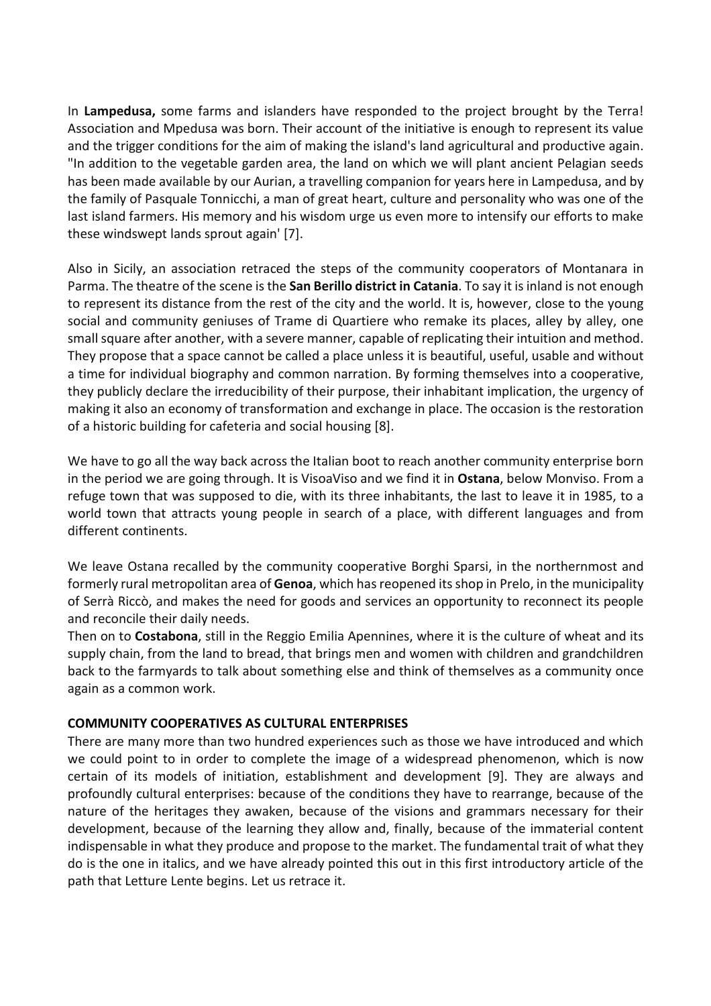In **Lampedusa,** some farms and islanders have responded to the project brought by the Terra! Association and Mpedusa was born. Their account of the initiative is enough to represent its value and the trigger conditions for the aim of making the island's land agricultural and productive again. "In addition to the vegetable garden area, the land on which we will plant ancient Pelagian seeds has been made available by our Aurian, a travelling companion for years here in Lampedusa, and by the family of Pasquale Tonnicchi, a man of great heart, culture and personality who was one of the last island farmers. His memory and his wisdom urge us even more to intensify our efforts to make these windswept lands sprout again' [7].

Also in Sicily, an association retraced the steps of the community cooperators of Montanara in Parma. The theatre of the scene is the **San Berillo district in Catania**. To say it is inland is not enough to represent its distance from the rest of the city and the world. It is, however, close to the young social and community geniuses of Trame di Quartiere who remake its places, alley by alley, one small square after another, with a severe manner, capable of replicating their intuition and method. They propose that a space cannot be called a place unless it is beautiful, useful, usable and without a time for individual biography and common narration. By forming themselves into a cooperative, they publicly declare the irreducibility of their purpose, their inhabitant implication, the urgency of making it also an economy of transformation and exchange in place. The occasion is the restoration of a historic building for cafeteria and social housing [8].

We have to go all the way back across the Italian boot to reach another community enterprise born in the period we are going through. It is VisoaViso and we find it in **Ostana**, below Monviso. From a refuge town that was supposed to die, with its three inhabitants, the last to leave it in 1985, to a world town that attracts young people in search of a place, with different languages and from different continents.

We leave Ostana recalled by the community cooperative Borghi Sparsi, in the northernmost and formerly rural metropolitan area of **Genoa**, which has reopened its shop in Prelo, in the municipality of Serrà Riccò, and makes the need for goods and services an opportunity to reconnect its people and reconcile their daily needs.

Then on to **Costabona**, still in the Reggio Emilia Apennines, where it is the culture of wheat and its supply chain, from the land to bread, that brings men and women with children and grandchildren back to the farmyards to talk about something else and think of themselves as a community once again as a common work.

#### **COMMUNITY COOPERATIVES AS CULTURAL ENTERPRISES**

There are many more than two hundred experiences such as those we have introduced and which we could point to in order to complete the image of a widespread phenomenon, which is now certain of its models of initiation, establishment and development [9]. They are always and profoundly cultural enterprises: because of the conditions they have to rearrange, because of the nature of the heritages they awaken, because of the visions and grammars necessary for their development, because of the learning they allow and, finally, because of the immaterial content indispensable in what they produce and propose to the market. The fundamental trait of what they do is the one in italics, and we have already pointed this out in this first introductory article of the path that Letture Lente begins. Let us retrace it.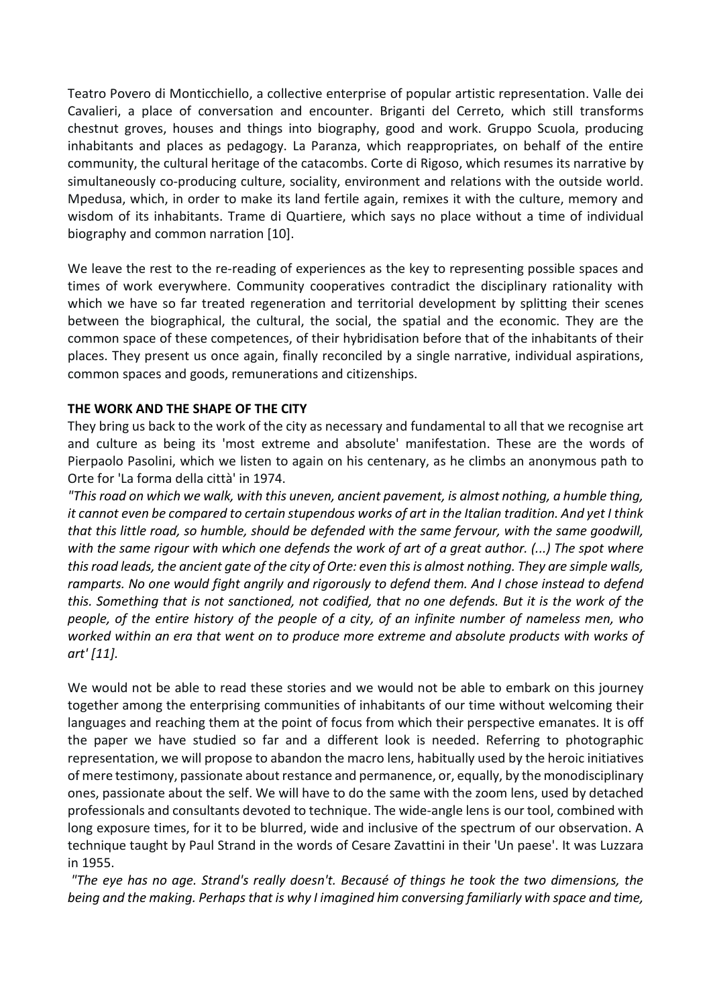Teatro Povero di Monticchiello, a collective enterprise of popular artistic representation. Valle dei Cavalieri, a place of conversation and encounter. Briganti del Cerreto, which still transforms chestnut groves, houses and things into biography, good and work. Gruppo Scuola, producing inhabitants and places as pedagogy. La Paranza, which reappropriates, on behalf of the entire community, the cultural heritage of the catacombs. Corte di Rigoso, which resumes its narrative by simultaneously co-producing culture, sociality, environment and relations with the outside world. Mpedusa, which, in order to make its land fertile again, remixes it with the culture, memory and wisdom of its inhabitants. Trame di Quartiere, which says no place without a time of individual biography and common narration [10].

We leave the rest to the re-reading of experiences as the key to representing possible spaces and times of work everywhere. Community cooperatives contradict the disciplinary rationality with which we have so far treated regeneration and territorial development by splitting their scenes between the biographical, the cultural, the social, the spatial and the economic. They are the common space of these competences, of their hybridisation before that of the inhabitants of their places. They present us once again, finally reconciled by a single narrative, individual aspirations, common spaces and goods, remunerations and citizenships.

#### **THE WORK AND THE SHAPE OF THE CITY**

They bring us back to the work of the city as necessary and fundamental to all that we recognise art and culture as being its 'most extreme and absolute' manifestation. These are the words of Pierpaolo Pasolini, which we listen to again on his centenary, as he climbs an anonymous path to Orte for 'La forma della città' in 1974.

*"This road on which we walk, with this uneven, ancient pavement, is almost nothing, a humble thing, it cannot even be compared to certain stupendous works of art in the Italian tradition. And yet I think that this little road, so humble, should be defended with the same fervour, with the same goodwill, with the same rigour with which one defends the work of art of a great author. (...) The spot where this road leads, the ancient gate of the city of Orte: even this is almost nothing. They are simple walls, ramparts. No one would fight angrily and rigorously to defend them. And I chose instead to defend this. Something that is not sanctioned, not codified, that no one defends. But it is the work of the people, of the entire history of the people of a city, of an infinite number of nameless men, who worked within an era that went on to produce more extreme and absolute products with works of art' [11].* 

We would not be able to read these stories and we would not be able to embark on this journey together among the enterprising communities of inhabitants of our time without welcoming their languages and reaching them at the point of focus from which their perspective emanates. It is off the paper we have studied so far and a different look is needed. Referring to photographic representation, we will propose to abandon the macro lens, habitually used by the heroic initiatives of mere testimony, passionate about restance and permanence, or, equally, by the monodisciplinary ones, passionate about the self. We will have to do the same with the zoom lens, used by detached professionals and consultants devoted to technique. The wide-angle lens is our tool, combined with long exposure times, for it to be blurred, wide and inclusive of the spectrum of our observation. A technique taught by Paul Strand in the words of Cesare Zavattini in their 'Un paese'. It was Luzzara in 1955.

 *"The eye has no age. Strand's really doesn't. Becausé of things he took the two dimensions, the being and the making. Perhaps that is why I imagined him conversing familiarly with space and time,*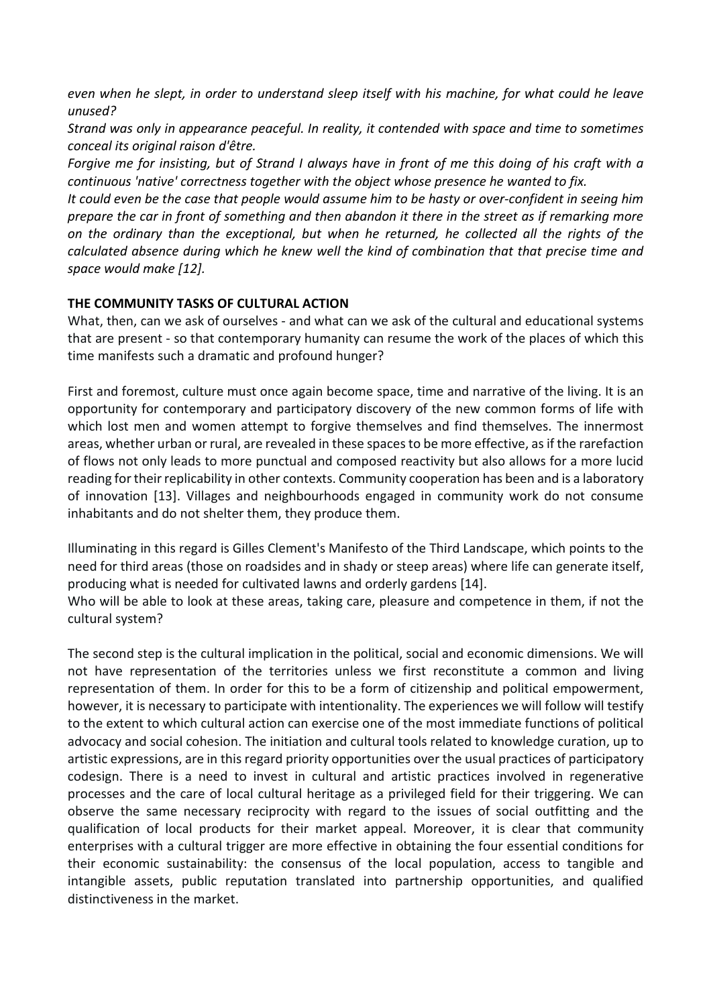*even when he slept, in order to understand sleep itself with his machine, for what could he leave unused?* 

*Strand was only in appearance peaceful. In reality, it contended with space and time to sometimes conceal its original raison d'être.* 

*Forgive me for insisting, but of Strand I always have in front of me this doing of his craft with a continuous 'native' correctness together with the object whose presence he wanted to fix.* 

*It could even be the case that people would assume him to be hasty or over-confident in seeing him prepare the car in front of something and then abandon it there in the street as if remarking more on the ordinary than the exceptional, but when he returned, he collected all the rights of the calculated absence during which he knew well the kind of combination that that precise time and space would make [12].* 

#### **THE COMMUNITY TASKS OF CULTURAL ACTION**

What, then, can we ask of ourselves - and what can we ask of the cultural and educational systems that are present - so that contemporary humanity can resume the work of the places of which this time manifests such a dramatic and profound hunger?

First and foremost, culture must once again become space, time and narrative of the living. It is an opportunity for contemporary and participatory discovery of the new common forms of life with which lost men and women attempt to forgive themselves and find themselves. The innermost areas, whether urban or rural, are revealed in these spaces to be more effective, as if the rarefaction of flows not only leads to more punctual and composed reactivity but also allows for a more lucid reading for their replicability in other contexts. Community cooperation has been and is a laboratory of innovation [13]. Villages and neighbourhoods engaged in community work do not consume inhabitants and do not shelter them, they produce them.

Illuminating in this regard is Gilles Clement's Manifesto of the Third Landscape, which points to the need for third areas (those on roadsides and in shady or steep areas) where life can generate itself, producing what is needed for cultivated lawns and orderly gardens [14].

Who will be able to look at these areas, taking care, pleasure and competence in them, if not the cultural system?

The second step is the cultural implication in the political, social and economic dimensions. We will not have representation of the territories unless we first reconstitute a common and living representation of them. In order for this to be a form of citizenship and political empowerment, however, it is necessary to participate with intentionality. The experiences we will follow will testify to the extent to which cultural action can exercise one of the most immediate functions of political advocacy and social cohesion. The initiation and cultural tools related to knowledge curation, up to artistic expressions, are in this regard priority opportunities over the usual practices of participatory codesign. There is a need to invest in cultural and artistic practices involved in regenerative processes and the care of local cultural heritage as a privileged field for their triggering. We can observe the same necessary reciprocity with regard to the issues of social outfitting and the qualification of local products for their market appeal. Moreover, it is clear that community enterprises with a cultural trigger are more effective in obtaining the four essential conditions for their economic sustainability: the consensus of the local population, access to tangible and intangible assets, public reputation translated into partnership opportunities, and qualified distinctiveness in the market.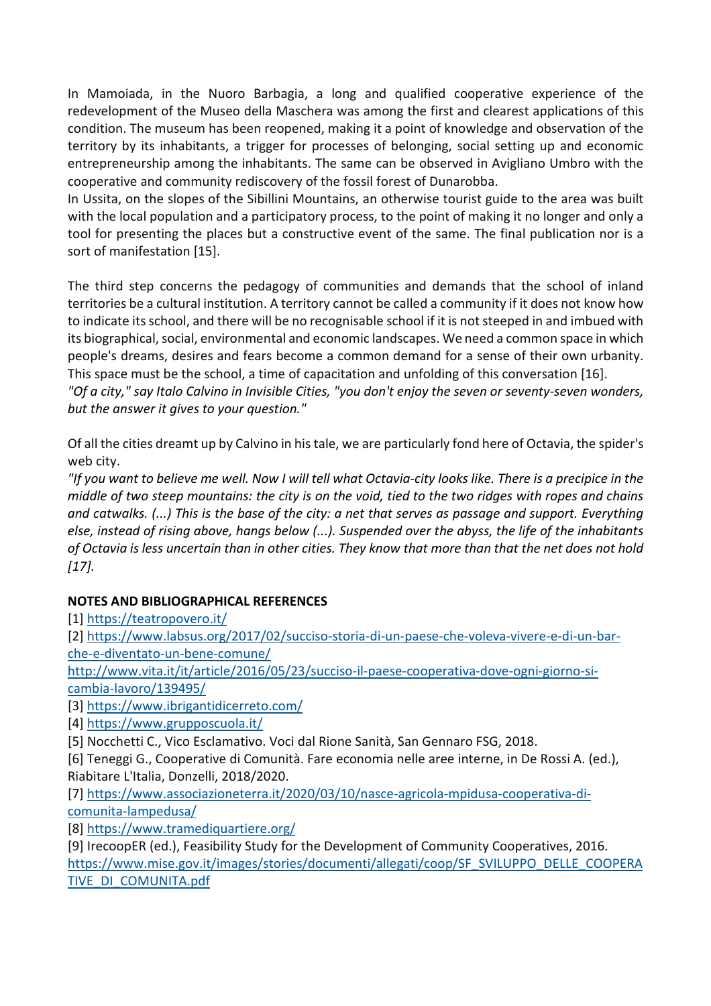In Mamoiada, in the Nuoro Barbagia, a long and qualified cooperative experience of the redevelopment of the Museo della Maschera was among the first and clearest applications of this condition. The museum has been reopened, making it a point of knowledge and observation of the territory by its inhabitants, a trigger for processes of belonging, social setting up and economic entrepreneurship among the inhabitants. The same can be observed in Avigliano Umbro with the cooperative and community rediscovery of the fossil forest of Dunarobba.

In Ussita, on the slopes of the Sibillini Mountains, an otherwise tourist guide to the area was built with the local population and a participatory process, to the point of making it no longer and only a tool for presenting the places but a constructive event of the same. The final publication nor is a sort of manifestation [15].

The third step concerns the pedagogy of communities and demands that the school of inland territories be a cultural institution. A territory cannot be called a community if it does not know how to indicate its school, and there will be no recognisable school if it is not steeped in and imbued with its biographical, social, environmental and economic landscapes. We need a common space in which people's dreams, desires and fears become a common demand for a sense of their own urbanity. This space must be the school, a time of capacitation and unfolding of this conversation [16].

*"Of a city," say Italo Calvino in Invisible Cities, "you don't enjoy the seven or seventy-seven wonders, but the answer it gives to your question."* 

Of all the cities dreamt up by Calvino in his tale, we are particularly fond here of Octavia, the spider's web city.

*"If you want to believe me well. Now I will tell what Octavia-city looks like. There is a precipice in the middle of two steep mountains: the city is on the void, tied to the two ridges with ropes and chains and catwalks. (...) This is the base of the city: a net that serves as passage and support. Everything else, instead of rising above, hangs below (...). Suspended over the abyss, the life of the inhabitants of Octavia is less uncertain than in other cities. They know that more than that the net does not hold [17].* 

## **NOTES AND BIBLIOGRAPHICAL REFERENCES**

[1] https://teatropovero.it/

[2] https://www.labsus.org/2017/02/succiso-storia-di-un-paese-che-voleva-vivere-e-di-un-barche-e-diventato-un-bene-comune/

http://www.vita.it/it/article/2016/05/23/succiso-il-paese-cooperativa-dove-ogni-giorno-sicambia-lavoro/139495/

[3] https://www.ibrigantidicerreto.com/

[4] https://www.grupposcuola.it/

[5] Nocchetti C., Vico Esclamativo. Voci dal Rione Sanità, San Gennaro FSG, 2018.

[6] Teneggi G., Cooperative di Comunità. Fare economia nelle aree interne, in De Rossi A. (ed.), Riabitare L'Italia, Donzelli, 2018/2020.

[7] https://www.associazioneterra.it/2020/03/10/nasce-agricola-mpidusa-cooperativa-dicomunita-lampedusa/

[8] https://www.tramediquartiere.org/

[9] IrecoopER (ed.), Feasibility Study for the Development of Community Cooperatives, 2016. https://www.mise.gov.it/images/stories/documenti/allegati/coop/SF\_SVILUPPO\_DELLE\_COOPERA TIVE\_DI\_COMUNITA.pdf